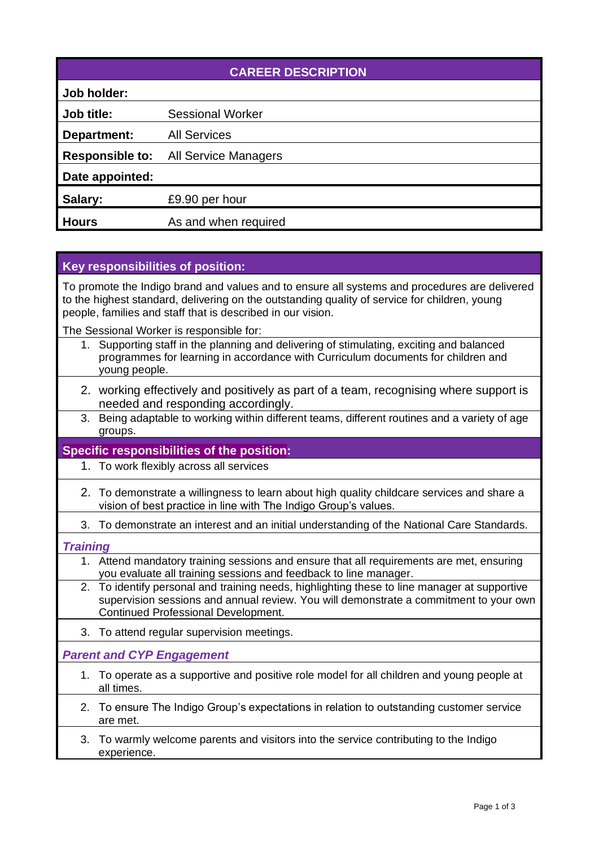| <b>CAREER DESCRIPTION</b> |                             |  |
|---------------------------|-----------------------------|--|
| Job holder:               |                             |  |
| Job title:                | <b>Sessional Worker</b>     |  |
| Department:               | <b>All Services</b>         |  |
| <b>Responsible to:</b>    | <b>All Service Managers</b> |  |
| Date appointed:           |                             |  |
| Salary:                   | £9.90 per hour              |  |
| <b>Hours</b>              | As and when required        |  |

# **Key responsibilities of position:**

To promote the Indigo brand and values and to ensure all systems and procedures are delivered to the highest standard, delivering on the outstanding quality of service for children, young people, families and staff that is described in our vision.

The Sessional Worker is responsible for:

- 1. Supporting staff in the planning and delivering of stimulating, exciting and balanced programmes for learning in accordance with Curriculum documents for children and young people.
- 2. working effectively and positively as part of a team, recognising where support is needed and responding accordingly.
- 3. Being adaptable to working within different teams, different routines and a variety of age groups.

## **Specific responsibilities of the position:**

- 1. To work flexibly across all services
- 2. To demonstrate a willingness to learn about high quality childcare services and share a vision of best practice in line with The Indigo Group's values.
- 3. To demonstrate an interest and an initial understanding of the National Care Standards.

### *Training*

- 1. Attend mandatory training sessions and ensure that all requirements are met, ensuring you evaluate all training sessions and feedback to line manager.
- 2. To identify personal and training needs, highlighting these to line manager at supportive supervision sessions and annual review. You will demonstrate a commitment to your own Continued Professional Development.
- 3. To attend regular supervision meetings.

## *Parent and CYP Engagement*

- 1. To operate as a supportive and positive role model for all children and young people at all times.
- 2. To ensure The Indigo Group's expectations in relation to outstanding customer service are met.
- 3. To warmly welcome parents and visitors into the service contributing to the Indigo experience.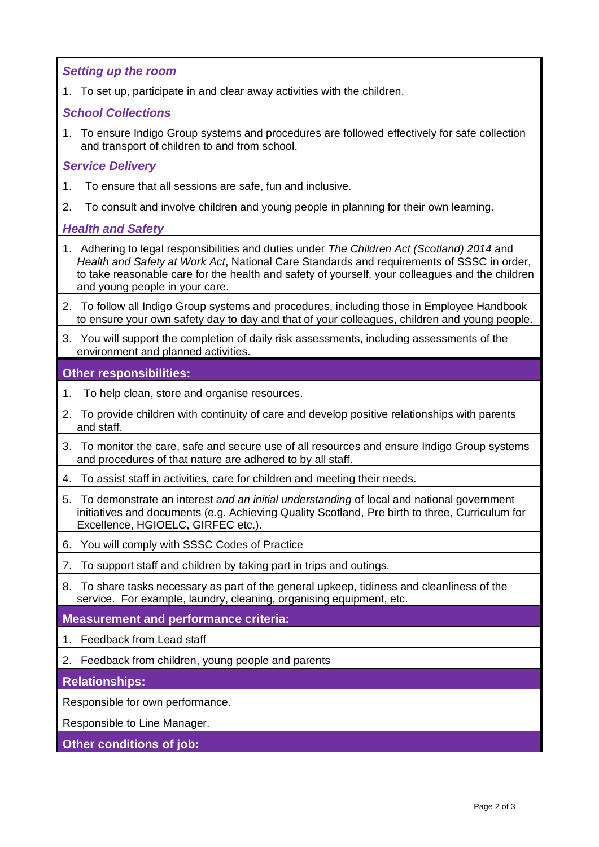*Setting up the room*

1. To set up, participate in and clear away activities with the children.

### *School Collections*

1. To ensure Indigo Group systems and procedures are followed effectively for safe collection and transport of children to and from school.

### *Service Delivery*

- 1. To ensure that all sessions are safe, fun and inclusive.
- 2. To consult and involve children and young people in planning for their own learning.

### *Health and Safety*

- 1. Adhering to legal responsibilities and duties under *The Children Act (Scotland) 2014* and *Health and Safety at Work Act*, National Care Standards and requirements of SSSC in order, to take reasonable care for the health and safety of yourself, your colleagues and the children and young people in your care.
- 2. To follow all Indigo Group systems and procedures, including those in Employee Handbook to ensure your own safety day to day and that of your colleagues, children and young people.
- 3. You will support the completion of daily risk assessments, including assessments of the environment and planned activities.

## **Other responsibilities:**

- 1. To help clean, store and organise resources.
- 2. To provide children with continuity of care and develop positive relationships with parents and staff.
- 3. To monitor the care, safe and secure use of all resources and ensure Indigo Group systems and procedures of that nature are adhered to by all staff.
- 4. To assist staff in activities, care for children and meeting their needs.
- 5. To demonstrate an interest *and an initial understanding* of local and national government initiatives and documents (e.g. Achieving Quality Scotland, Pre birth to three, Curriculum for Excellence, HGIOELC, GIRFEC etc.).
- 6. You will comply with SSSC Codes of Practice
- 7. To support staff and children by taking part in trips and outings.
- 8. To share tasks necessary as part of the general upkeep, tidiness and cleanliness of the service. For example, laundry, cleaning, organising equipment, etc.

## **Measurement and performance criteria:**

- 1. Feedback from Lead staff
- 2. Feedback from children, young people and parents

## **Relationships:**

Responsible for own performance.

Responsible to Line Manager.

### **Other conditions of job:**